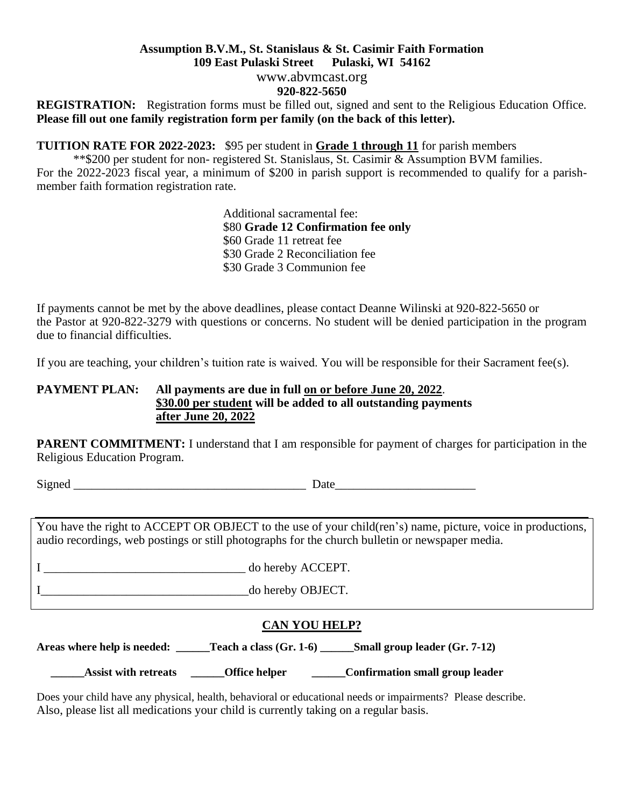#### **Assumption B.V.M., St. Stanislaus & St. Casimir Faith Formation 109 East Pulaski Street Pulaski, WI 54162**

www.abvmcast.org

## **920-822-5650**

**REGISTRATION:** Registration forms must be filled out, signed and sent to the Religious Education Office. **Please fill out one family registration form per family (on the back of this letter).**

**TUITION RATE FOR 2022-2023:** \$95 per student in **Grade 1 through 11** for parish members

 \*\*\$200 per student for non- registered St. Stanislaus, St. Casimir & Assumption BVM families. For the 2022-2023 fiscal year, a minimum of \$200 in parish support is recommended to qualify for a parishmember faith formation registration rate.

> Additional sacramental fee: \$80 **Grade 12 Confirmation fee only** \$60 Grade 11 retreat fee \$30 Grade 2 Reconciliation fee \$30 Grade 3 Communion fee

If payments cannot be met by the above deadlines, please contact Deanne Wilinski at 920-822-5650 or the Pastor at 920-822-3279 with questions or concerns. No student will be denied participation in the program due to financial difficulties.

If you are teaching, your children's tuition rate is waived. You will be responsible for their Sacrament fee(s).

### **PAYMENT PLAN: All payments are due in full on or before June 20, 2022**. **\$30.00 per student will be added to all outstanding payments after June 20, 2022**

**PARENT COMMITMENT:** I understand that I am responsible for payment of charges for participation in the Religious Education Program.

Signed \_\_\_\_\_\_\_\_\_\_\_\_\_\_\_\_\_\_\_\_\_\_\_\_\_\_\_\_\_\_\_\_\_\_\_\_\_\_ Date\_\_\_\_\_\_\_\_\_\_\_\_\_\_\_\_\_\_\_\_\_\_\_

You have the right to ACCEPT OR OBJECT to the use of your child(ren's) name, picture, voice in productions, audio recordings, web postings or still photographs for the church bulletin or newspaper media.

I do hereby ACCEPT. I do hereby OBJECT.

## **CAN YOU HELP?**

**Areas where help is needed: \_\_\_\_\_\_Teach a class (Gr. 1-6) \_\_\_\_\_\_Small group leader (Gr. 7-12)**

Assist with retreats **\_\_\_\_\_\_**Office helper **\_\_\_\_\_\_\_**Confirmation small group leader

Does your child have any physical, health, behavioral or educational needs or impairments? Please describe. Also, please list all medications your child is currently taking on a regular basis.